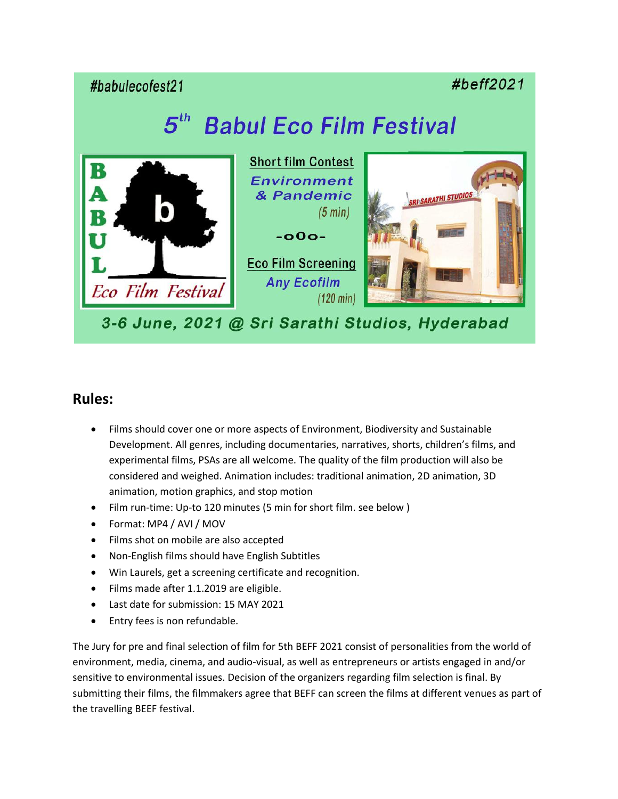#babulecofest21

#beff2021

## $5^{th}$ **Babul Eco Film Festival**



## **Rules:**

- Films should cover one or more aspects of Environment, Biodiversity and Sustainable Development. All genres, including documentaries, narratives, shorts, children's films, and experimental films, PSAs are all welcome. The quality of the film production will also be considered and weighed. Animation includes: traditional animation, 2D animation, 3D animation, motion graphics, and stop motion
- Film run-time: Up-to 120 minutes (5 min for short film. see below )
- Format: MP4 / AVI / MOV
- Films shot on mobile are also accepted
- Non-English films should have English Subtitles
- Win Laurels, get a screening certificate and recognition.
- Films made after 1.1.2019 are eligible.
- Last date for submission: 15 MAY 2021
- Entry fees is non refundable.

The Jury for pre and final selection of film for 5th BEFF 2021 consist of personalities from the world of environment, media, cinema, and audio-visual, as well as entrepreneurs or artists engaged in and/or sensitive to environmental issues. Decision of the organizers regarding film selection is final. By submitting their films, the filmmakers agree that BEFF can screen the films at different venues as part of the travelling BEEF festival.